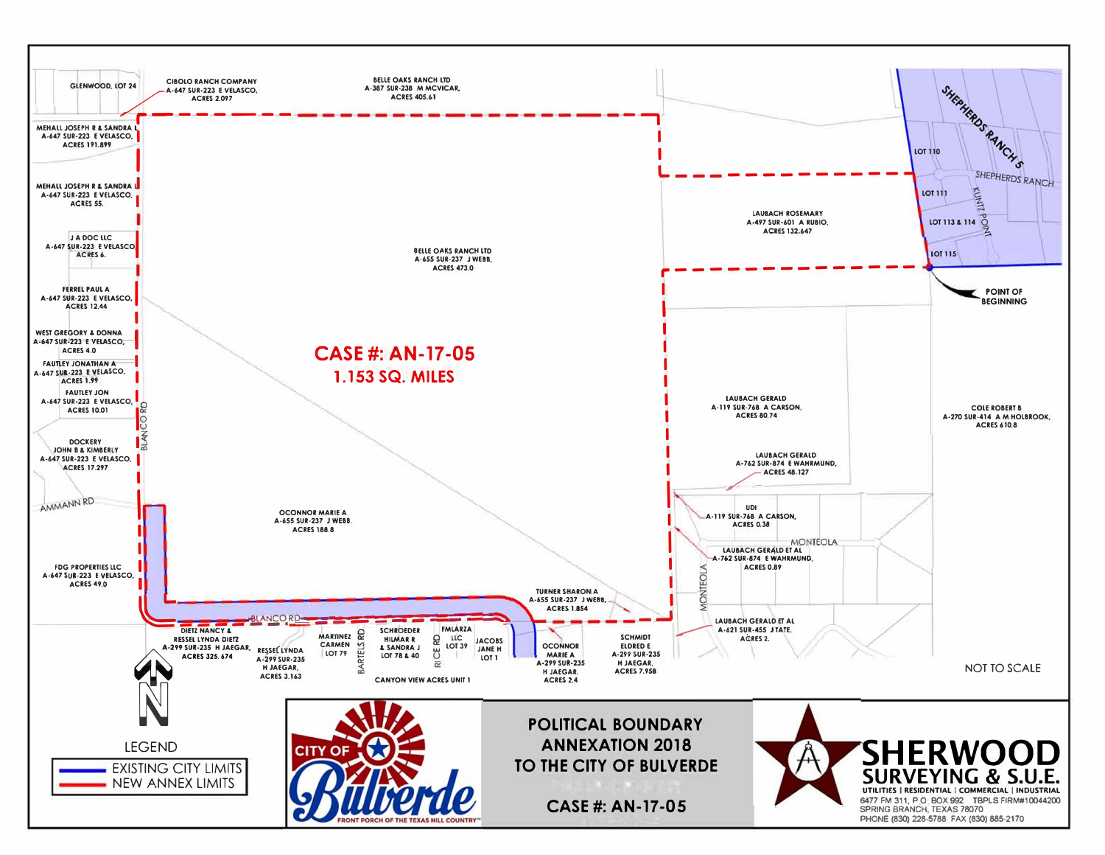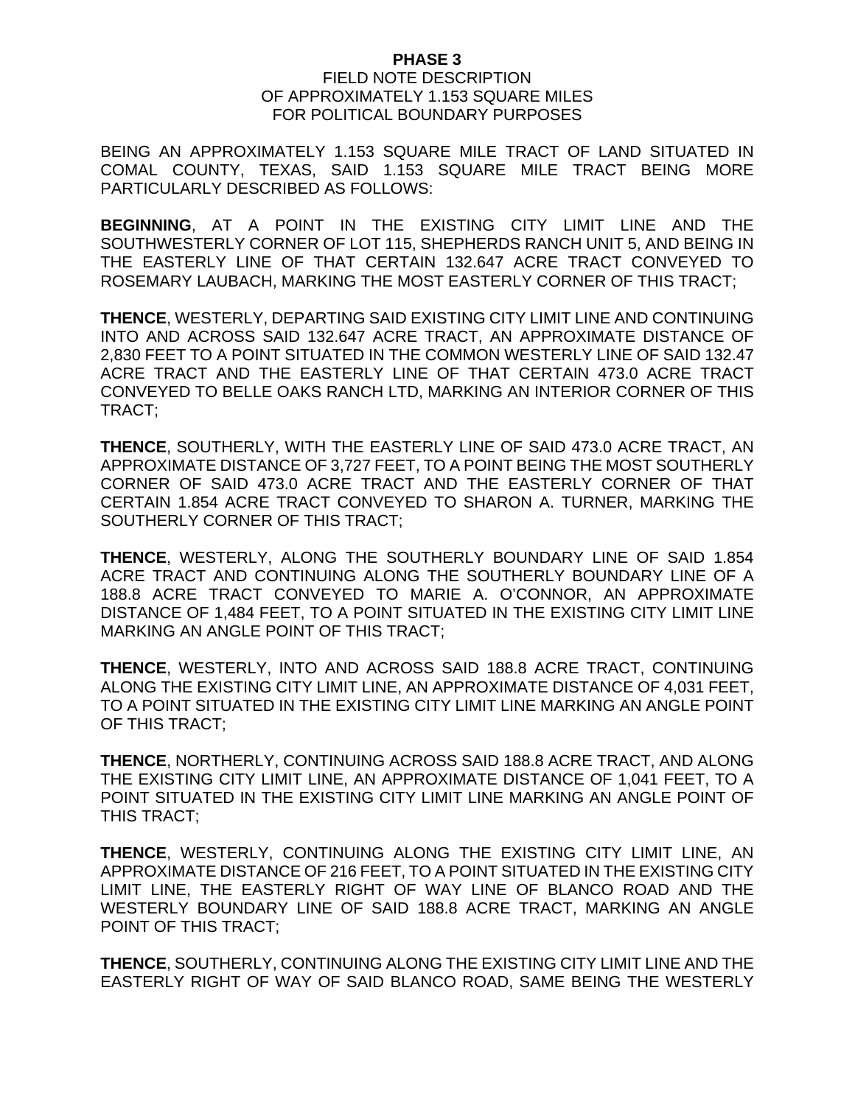## **PHASE 3**

## FIELD NOTE DESCRIPTION OF APPROXIMATELY 1.153 SQUARE MILES FOR POLITICAL BOUNDARY PURPOSES

BEING AN APPROXIMATELY 1.153 SQUARE MILE TRACT OF LAND SITUATED IN COMAL COUNTY, TEXAS, SAID 1.153 SQUARE MILE TRACT BEING MORE PARTICULARLY DESCRIBED AS FOLLOWS:

**BEGINNING**, AT A POINT IN THE EXISTING CITY LIMIT LINE AND THE SOUTHWESTERLY CORNER OF LOT 115, SHEPHERDS RANCH UNIT 5, AND BEING IN THE EASTERLY LINE OF THAT CERTAIN 132.647 ACRE TRACT CONVEYED TO ROSEMARY LAUBACH, MARKING THE MOST EASTERLY CORNER OF THIS TRACT;

**THENCE**, WESTERLY, DEPARTING SAID EXISTING CITY LIMIT LINE AND CONTINUING INTO AND ACROSS SAID 132.647 ACRE TRACT, AN APPROXIMATE DISTANCE OF 2,830 FEET TO A POINT SITUATED IN THE COMMON WESTERLY LINE OF SAID 132.47 ACRE TRACT AND THE EASTERLY LINE OF THAT CERTAIN 473.0 ACRE TRACT CONVEYED TO BELLE OAKS RANCH LTD, MARKING AN INTERIOR CORNER OF THIS TRACT;

**THENCE**, SOUTHERLY, WITH THE EASTERLY LINE OF SAID 473.0 ACRE TRACT, AN APPROXIMATE DISTANCE OF 3,727 FEET, TO A POINT BEING THE MOST SOUTHERLY CORNER OF SAID 473.0 ACRE TRACT AND THE EASTERLY CORNER OF THAT CERTAIN 1.854 ACRE TRACT CONVEYED TO SHARON A. TURNER, MARKING THE SOUTHERLY CORNER OF THIS TRACT;

**THENCE**, WESTERLY, ALONG THE SOUTHERLY BOUNDARY LINE OF SAID 1.854 ACRE TRACT AND CONTINUING ALONG THE SOUTHERLY BOUNDARY LINE OF A 188.8 ACRE TRACT CONVEYED TO MARIE A. O'CONNOR, AN APPROXIMATE DISTANCE OF 1,484 FEET, TO A POINT SITUATED IN THE EXISTING CITY LIMIT LINE MARKING AN ANGLE POINT OF THIS TRACT;

**THENCE**, WESTERLY, INTO AND ACROSS SAID 188.8 ACRE TRACT, CONTINUING ALONG THE EXISTING CITY LIMIT LINE, AN APPROXIMATE DISTANCE OF 4,031 FEET, TO A POINT SITUATED IN THE EXISTING CITY LIMIT LINE MARKING AN ANGLE POINT OF THIS TRACT;

**THENCE**, NORTHERLY, CONTINUING ACROSS SAID 188.8 ACRE TRACT, AND ALONG THE EXISTING CITY LIMIT LINE, AN APPROXIMATE DISTANCE OF 1,041 FEET, TO A POINT SITUATED IN THE EXISTING CITY LIMIT LINE MARKING AN ANGLE POINT OF THIS TRACT;

**THENCE**, WESTERLY, CONTINUING ALONG THE EXISTING CITY LIMIT LINE, AN APPROXIMATE DISTANCE OF 216 FEET, TO A POINT SITUATED IN THE EXISTING CITY LIMIT LINE, THE EASTERLY RIGHT OF WAY LINE OF BLANCO ROAD AND THE WESTERLY BOUNDARY LINE OF SAID 188.8 ACRE TRACT, MARKING AN ANGLE POINT OF THIS TRACT;

**THENCE**, SOUTHERLY, CONTINUING ALONG THE EXISTING CITY LIMIT LINE AND THE EASTERLY RIGHT OF WAY OF SAID BLANCO ROAD, SAME BEING THE WESTERLY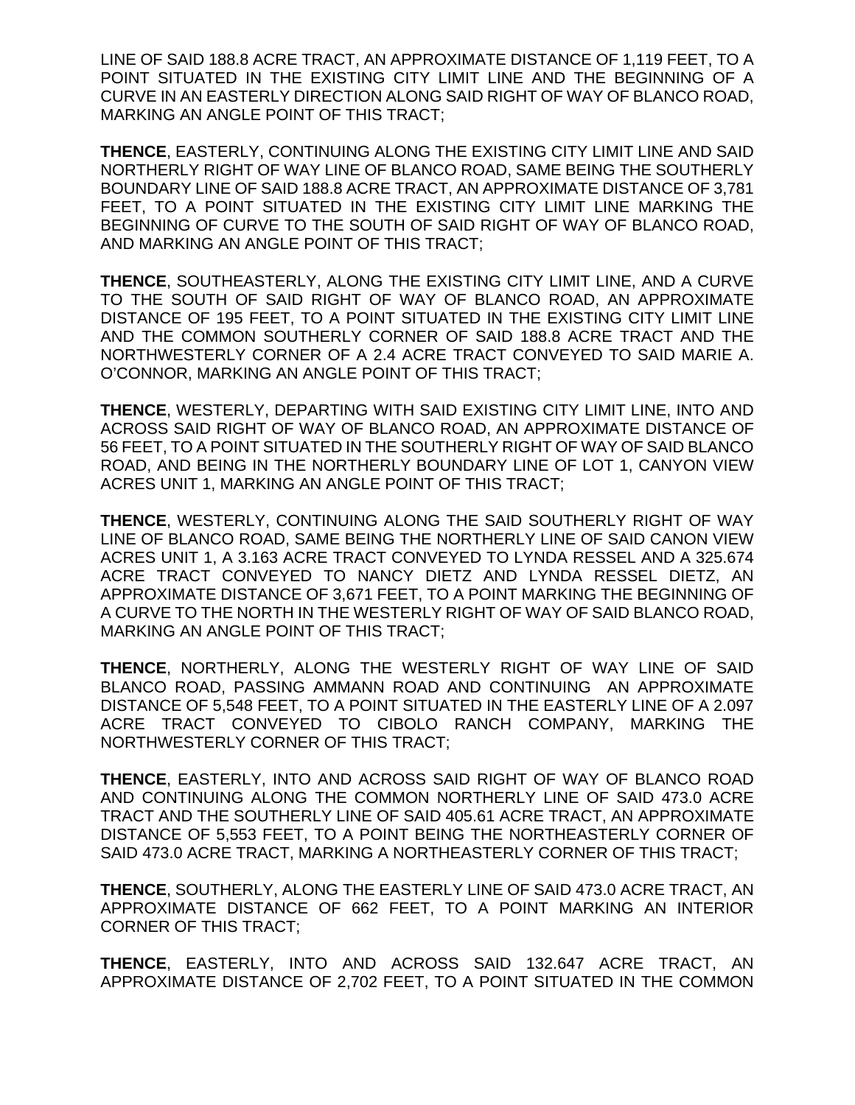LINE OF SAID 188.8 ACRE TRACT, AN APPROXIMATE DISTANCE OF 1,119 FEET, TO A POINT SITUATED IN THE EXISTING CITY LIMIT LINE AND THE BEGINNING OF A CURVE IN AN EASTERLY DIRECTION ALONG SAID RIGHT OF WAY OF BLANCO ROAD, MARKING AN ANGLE POINT OF THIS TRACT;

**THENCE**, EASTERLY, CONTINUING ALONG THE EXISTING CITY LIMIT LINE AND SAID NORTHERLY RIGHT OF WAY LINE OF BLANCO ROAD, SAME BEING THE SOUTHERLY BOUNDARY LINE OF SAID 188.8 ACRE TRACT, AN APPROXIMATE DISTANCE OF 3,781 FEET, TO A POINT SITUATED IN THE EXISTING CITY LIMIT LINE MARKING THE BEGINNING OF CURVE TO THE SOUTH OF SAID RIGHT OF WAY OF BLANCO ROAD, AND MARKING AN ANGLE POINT OF THIS TRACT;

**THENCE**, SOUTHEASTERLY, ALONG THE EXISTING CITY LIMIT LINE, AND A CURVE TO THE SOUTH OF SAID RIGHT OF WAY OF BLANCO ROAD, AN APPROXIMATE DISTANCE OF 195 FEET, TO A POINT SITUATED IN THE EXISTING CITY LIMIT LINE AND THE COMMON SOUTHERLY CORNER OF SAID 188.8 ACRE TRACT AND THE NORTHWESTERLY CORNER OF A 2.4 ACRE TRACT CONVEYED TO SAID MARIE A. O'CONNOR, MARKING AN ANGLE POINT OF THIS TRACT;

**THENCE**, WESTERLY, DEPARTING WITH SAID EXISTING CITY LIMIT LINE, INTO AND ACROSS SAID RIGHT OF WAY OF BLANCO ROAD, AN APPROXIMATE DISTANCE OF 56 FEET, TO A POINT SITUATED IN THE SOUTHERLY RIGHT OF WAY OF SAID BLANCO ROAD, AND BEING IN THE NORTHERLY BOUNDARY LINE OF LOT 1, CANYON VIEW ACRES UNIT 1, MARKING AN ANGLE POINT OF THIS TRACT;

**THENCE**, WESTERLY, CONTINUING ALONG THE SAID SOUTHERLY RIGHT OF WAY LINE OF BLANCO ROAD, SAME BEING THE NORTHERLY LINE OF SAID CANON VIEW ACRES UNIT 1, A 3.163 ACRE TRACT CONVEYED TO LYNDA RESSEL AND A 325.674 ACRE TRACT CONVEYED TO NANCY DIETZ AND LYNDA RESSEL DIETZ, AN APPROXIMATE DISTANCE OF 3,671 FEET, TO A POINT MARKING THE BEGINNING OF A CURVE TO THE NORTH IN THE WESTERLY RIGHT OF WAY OF SAID BLANCO ROAD, MARKING AN ANGLE POINT OF THIS TRACT;

**THENCE**, NORTHERLY, ALONG THE WESTERLY RIGHT OF WAY LINE OF SAID BLANCO ROAD, PASSING AMMANN ROAD AND CONTINUING AN APPROXIMATE DISTANCE OF 5,548 FEET, TO A POINT SITUATED IN THE EASTERLY LINE OF A 2.097 ACRE TRACT CONVEYED TO CIBOLO RANCH COMPANY, MARKING THE NORTHWESTERLY CORNER OF THIS TRACT;

**THENCE**, EASTERLY, INTO AND ACROSS SAID RIGHT OF WAY OF BLANCO ROAD AND CONTINUING ALONG THE COMMON NORTHERLY LINE OF SAID 473.0 ACRE TRACT AND THE SOUTHERLY LINE OF SAID 405.61 ACRE TRACT, AN APPROXIMATE DISTANCE OF 5,553 FEET, TO A POINT BEING THE NORTHEASTERLY CORNER OF SAID 473.0 ACRE TRACT, MARKING A NORTHEASTERLY CORNER OF THIS TRACT;

**THENCE**, SOUTHERLY, ALONG THE EASTERLY LINE OF SAID 473.0 ACRE TRACT, AN APPROXIMATE DISTANCE OF 662 FEET, TO A POINT MARKING AN INTERIOR CORNER OF THIS TRACT;

**THENCE**, EASTERLY, INTO AND ACROSS SAID 132.647 ACRE TRACT, AN APPROXIMATE DISTANCE OF 2,702 FEET, TO A POINT SITUATED IN THE COMMON